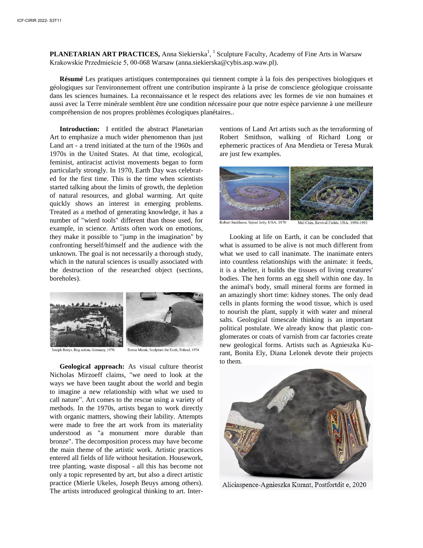PLANETARIAN ART PRACTICES, Anna Siekierska<sup>1</sup>, <sup>1</sup> Sculpture Faculty, Academy of Fine Arts in Warsaw Krakowskie Przedmieście 5, 00-068 Warsaw (anna.siekierska@cybis.asp.waw.pl).

**Résumé** Les pratiques artistiques contemporaines qui tiennent compte à la fois des perspectives biologiques et géologiques sur l'environnement offrent une contribution inspirante à la prise de conscience géologique croissante dans les sciences humaines. La reconnaissance et le respect des relations avec les formes de vie non humaines et aussi avec la Terre minérale semblent être une condition nécessaire pour que notre espèce parvienne à une meilleure compréhension de nos propres problèmes écologiques planétaires..

**Introduction:** I entitled the abstract Planetarian Art to emphasize a much wider phenomenon than just Land art - a trend initiated at the turn of the 1960s and 1970s in the United States. At that time, ecological, feminist, antiracist activist movements began to form particularly strongly. In 1970, Earth Day was celebrated for the first time. This is the time when scientists started talking about the limits of growth, the depletion of natural resources, and global warming. Art quite quickly shows an interest in emerging problems. Treated as a method of generating knowledge, it has a number of "wierd tools" different than those used, for example, in science. Artists often work on emotions, they make it possible to "jump in the imagination" by confronting herself/himself and the audience with the unknown. The goal is not necessarily a thorough study, which in the natural sciences is usually associated with the destruction of the researched object (sections, boreholes).



Beuys, Bog action, Germany, 1970

Teresa Murak, Sculpture for Earth, Poland, 1974

**Geological approach:** As visual culture theorist Nicholas Mirzoeff claims, "we need to look at the ways we have been taught about the world and begin to imagine a new relationship with what we used to call nature". Art comes to the rescue using a variety of methods. In the 1970s, artists began to work directly with organic mattters, showing their lability. Attempts were made to free the art work from its materiality understood as "a monument more durable than bronze". The decomposition process may have become the main theme of the artistic work. Artistic practices entered all fields of life without hesitation. Housework, tree planting, waste disposal - all this has become not only a topic represented by art, but also a direct artistic practice (Mierle Ukeles, Joseph Beuys among others). The artists introduced geological thinking to art. Inter-

ventions of Land Art artists such as the terraforming of Robert Smithson, walking of Richard Long or ephemeric practices of Ana Mendieta or Teresa Murak are just few examples.



Robert Smithson, Spiral Jetty, USA, 1970

Mel Chin, Revival Fields, USA, 1990-1993

Looking at life on Earth, it can be concluded that what is assumed to be alive is not much different from what we used to call inanimate. The inanimate enters into countless relationships with the animate: it feeds, it is a shelter, it builds the tissues of living creatures' bodies. The hen forms an egg shell within one day. In the animal's body, small mineral forms are formed in an amazingly short time: kidney stones. The only dead cells in plants forming the wood tissue, which is used to nourish the plant, supply it with water and mineral salts. Geological timescale thinking is an important political postulate. We already know that plastic conglomerates or coats of varnish from car factories create new geological forms. Artists such as Agnieszka Kurant, Bonita Ely, Diana Lelonek devote their projects to them.



Aliciaspence-Agnieszka Kurant, Postfortdit e, 2020